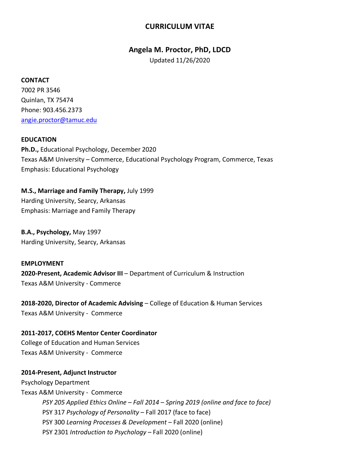# **CURRICULUM VITAE**

### **Angela M. Proctor, PhD, LDCD**

Updated 11/26/2020

#### **CONTACT**

7002 PR 3546 Quinlan, TX 75474 Phone: 903.456.2373 angie.proctor@tamuc.edu

#### **EDUCATION**

**Ph.D.,** Educational Psychology, December 2020 Texas A&M University – Commerce, Educational Psychology Program, Commerce, Texas Emphasis: Educational Psychology

**M.S., Marriage and Family Therapy,** July 1999 Harding University, Searcy, Arkansas Emphasis: Marriage and Family Therapy

**B.A., Psychology,** May 1997 Harding University, Searcy, Arkansas

**EMPLOYMENT 2020-Present, Academic Advisor III** – Department of Curriculum & Instruction Texas A&M University - Commerce

**2018-2020, Director of Academic Advising** – College of Education & Human Services Texas A&M University - Commerce

**2011-2017, COEHS Mentor Center Coordinator** College of Education and Human Services Texas A&M University - Commerce

#### **2014-Present, Adjunct Instructor**

Psychology Department Texas A&M University - Commerce *PSY 205 Applied Ethics Online – Fall 2014 – Spring 2019 (online and face to face)* PSY 317 *Psychology of Personality* – Fall 2017 (face to face) PSY 300 *Learning Processes & Development* – Fall 2020 (online) PSY 2301 *Introduction to Psychology –* Fall 2020 (online)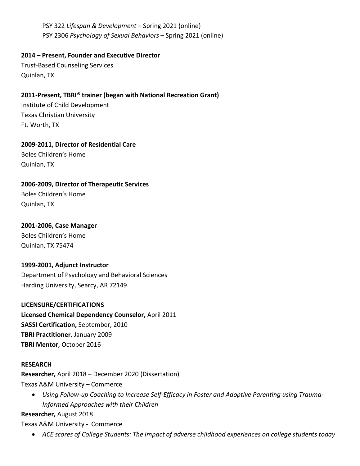PSY 322 *Lifespan & Development* – Spring 2021 (online) PSY 2306 *Psychology of Sexual Behaviors* – Spring 2021 (online)

**2014 – Present, Founder and Executive Director**

Trust-Based Counseling Services Quinlan, TX

# **2011-Present, TBRI***®* **trainer (began with National Recreation Grant)**

Institute of Child Development Texas Christian University Ft. Worth, TX

**2009-2011, Director of Residential Care** Boles Children's Home

Quinlan, TX

**2006-2009, Director of Therapeutic Services**

Boles Children's Home Quinlan, TX

## **2001-2006, Case Manager**

Boles Children's Home Quinlan, TX 75474

### **1999-2001, Adjunct Instructor**

Department of Psychology and Behavioral Sciences Harding University, Searcy, AR 72149

### **LICENSURE/CERTIFICATIONS**

**Licensed Chemical Dependency Counselor,** April 2011 **SASSI Certification,** September, 2010 **TBRI Practitioner**, January 2009 **TBRI Mentor**, October 2016

### **RESEARCH**

**Researcher,** April 2018 – December 2020 (Dissertation) Texas A&M University – Commerce

• *Using Follow-up Coaching to Increase Self-Efficacy in Foster and Adoptive Parenting using Trauma-Informed Approaches with their Children*

**Researcher,** August 2018

Texas A&M University - Commerce

• *ACE scores of College Students: The impact of adverse childhood experiences on college students today*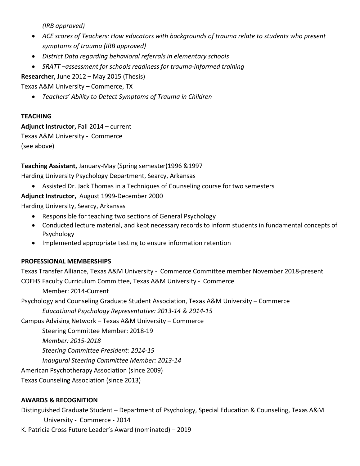*(IRB approved)*

- *ACE scores of Teachers: How educators with backgrounds of trauma relate to students who present symptoms of trauma (IRB approved)*
- *District Data regarding behavioral referrals in elementary schools*
- *SRATT –assessment for schools readiness for trauma-informed training*

**Researcher,** June 2012 – May 2015 (Thesis)

Texas A&M University – Commerce, TX

• *Teachers' Ability to Detect Symptoms of Trauma in Children*

## **TEACHING**

**Adjunct Instructor,** Fall 2014 – current

Texas A&M University - Commerce

(see above)

# **Teaching Assistant,** January-May (Spring semester)1996 &1997

Harding University Psychology Department, Searcy, Arkansas

• Assisted Dr. Jack Thomas in a Techniques of Counseling course for two semesters

# **Adjunct Instructor,** August 1999-December 2000

Harding University, Searcy, Arkansas

- Responsible for teaching two sections of General Psychology
- Conducted lecture material, and kept necessary records to inform students in fundamental concepts of Psychology
- Implemented appropriate testing to ensure information retention

# **PROFESSIONAL MEMBERSHIPS**

Texas Transfer Alliance, Texas A&M University - Commerce Committee member November 2018-present COEHS Faculty Curriculum Committee, Texas A&M University - Commerce

Member: 2014-Current

Psychology and Counseling Graduate Student Association, Texas A&M University – Commerce

*Educational Psychology Representative: 2013-14 & 2014-15*

Campus Advising Network – Texas A&M University – Commerce

Steering Committee Member: 2018-19

*Member: 2015-2018*

*Steering Committee President: 2014-15*

*Inaugural Steering Committee Member: 2013-14*

American Psychotherapy Association (since 2009)

Texas Counseling Association (since 2013)

# **AWARDS & RECOGNITION**

Distinguished Graduate Student – Department of Psychology, Special Education & Counseling, Texas A&M University - Commerce - 2014

K. Patricia Cross Future Leader's Award (nominated) – 2019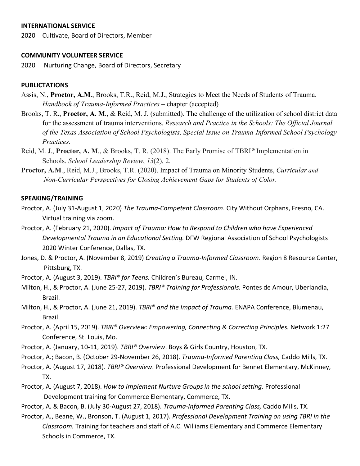#### **INTERNATIONAL SERVICE**

2020 Cultivate, Board of Directors, Member

#### **COMMUNITY VOLUNTEER SERVICE**

2020 Nurturing Change, Board of Directors, Secretary

#### **PUBLICTATIONS**

- Assis, N., **Proctor, A.M**., Brooks, T.R., Reid, M.J., Strategies to Meet the Needs of Students of Trauma. *Handbook of Trauma-Informed Practices* – chapter (accepted)
- Brooks, T. R., **Proctor, A. M**., & Reid, M. J. (submitted). The challenge of the utilization of school district data for the assessment of trauma interventions. *Research and Practice in the Schools: The Official Journal of the Texas Association of School Psychologists, Special Issue on Trauma-Informed School Psychology Practices.*
- Reid, M. J., **Proctor, A. M**., & Brooks, T. R. (2018). The Early Promise of TBRI*®* Implementation in Schools. *School Leadership Review*, *13*(2), 2.
- **Proctor, A.M**., Reid, M.J., Brooks, T.R. (2020). Impact of Trauma on Minority Students, *Curricular and Non-Curricular Perspectives for Closing Achievement Gaps for Students of Color.*

#### **SPEAKING/TRAINING**

- Proctor, A. (July 31-August 1, 2020) *The Trauma-Competent Classroom*. City Without Orphans, Fresno, CA. Virtual training via zoom.
- Proctor, A. (February 21, 2020). *Impact of Trauma: How to Respond to Children who have Experienced Developmental Trauma in an Educational Setting.* DFW Regional Association of School Psychologists 2020 Winter Conference, Dallas, TX.
- Jones, D. & Proctor, A. (November 8, 2019) *Creating a Trauma-Informed Classroom*. Region 8 Resource Center, Pittsburg, TX.
- Proctor, A. (August 3, 2019). *TBRI® for Teens.* Children's Bureau, Carmel, IN.
- Milton, H., & Proctor, A. (June 25-27, 2019). *TBRI® Training for Professionals.* Pontes de Amour, Uberlandia, Brazil.
- Milton, H., & Proctor, A. (June 21, 2019). *TBRI® and the Impact of Trauma.* ENAPA Conference, Blumenau, Brazil.
- Proctor, A. (April 15, 2019). *TBRI® Overview: Empowering, Connecting & Correcting Principles.* Network 1:27 Conference, St. Louis, Mo.
- Proctor, A. (January, 10-11, 2019). *TBRI® Overview*. Boys & Girls Country, Houston, TX.
- Proctor, A.; Bacon, B. (October 29-November 26, 2018). *Trauma-Informed Parenting Class,* Caddo Mills, TX.
- Proctor, A. (August 17, 2018). *TBRI® Overview*. Professional Development for Bennet Elementary, McKinney, TX.
- Proctor, A. (August 7, 2018). *How to Implement Nurture Groups in the school setting.* Professional Development training for Commerce Elementary, Commerce, TX.
- Proctor, A. & Bacon, B. (July 30-August 27, 2018). *Trauma-Informed Parenting Class,* Caddo Mills, TX.
- Proctor, A., Beane, W., Bronson, T. (August 1, 2017). *Professional Development Training on using TBRI in the Classroom.* Training for teachers and staff of A.C. Williams Elementary and Commerce Elementary Schools in Commerce, TX.